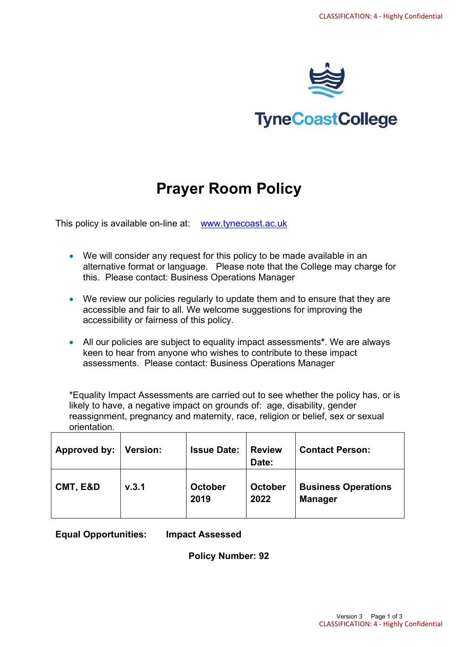

# **TyneCoastCollege**

# **Prayer Room Policy**

This policy is available on-line at: [www.tynecoast.ac.uk](http://www.tynecoast.ac.uk/)

- We will consider any request for this policy to be made available in an alternative format or language. Please note that the College may charge for this. Please contact: Business Operations Manager
- We review our policies regularly to update them and to ensure that they are accessible and fair to all. We welcome suggestions for improving the accessibility or fairness of this policy.
- All our policies are subject to equality impact assessments**\***. We are always keen to hear from anyone who wishes to contribute to these impact assessments. Please contact: Business Operations Manager

\*Equality Impact Assessments are carried out to see whether the policy has, or is likely to have, a negative impact on grounds of: age, disability, gender reassignment, pregnancy and maternity, race, religion or belief, sex or sexual orientation.

| Approved by: | Version: | <b>Issue Date:</b>     | <b>Review</b><br>Date: | <b>Contact Person:</b>                       |
|--------------|----------|------------------------|------------------------|----------------------------------------------|
| CMT, E&D     | V.3.1    | <b>October</b><br>2019 | <b>October</b><br>2022 | <b>Business Operations</b><br><b>Manager</b> |

**Equal Opportunities: Impact Assessed**

**Policy Number: 92**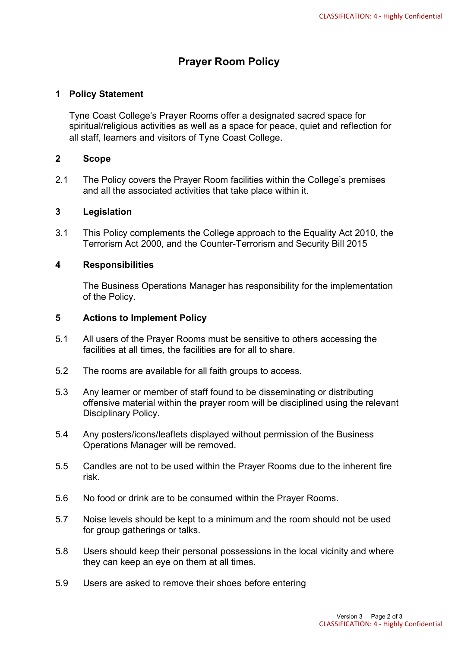# **Prayer Room Policy**

## **1 Policy Statement**

Tyne Coast College's Prayer Rooms offer a designated sacred space for spiritual/religious activities as well as a space for peace, quiet and reflection for all staff, learners and visitors of Tyne Coast College.

#### **2 Scope**

2.1 The Policy covers the Prayer Room facilities within the College's premises and all the associated activities that take place within it.

#### **3 Legislation**

3.1 This Policy complements the College approach to the Equality Act 2010, the Terrorism Act 2000, and the Counter-Terrorism and Security Bill 2015

#### **4 Responsibilities**

The Business Operations Manager has responsibility for the implementation of the Policy.

## **5 Actions to Implement Policy**

- 5.1 All users of the Prayer Rooms must be sensitive to others accessing the facilities at all times, the facilities are for all to share.
- 5.2 The rooms are available for all faith groups to access.
- 5.3 Any learner or member of staff found to be disseminating or distributing offensive material within the prayer room will be disciplined using the relevant Disciplinary Policy.
- 5.4 Any posters/icons/leaflets displayed without permission of the Business Operations Manager will be removed.
- 5.5 Candles are not to be used within the Prayer Rooms due to the inherent fire risk.
- 5.6 No food or drink are to be consumed within the Prayer Rooms.
- 5.7 Noise levels should be kept to a minimum and the room should not be used for group gatherings or talks.
- 5.8 Users should keep their personal possessions in the local vicinity and where they can keep an eye on them at all times.
- 5.9 Users are asked to remove their shoes before entering